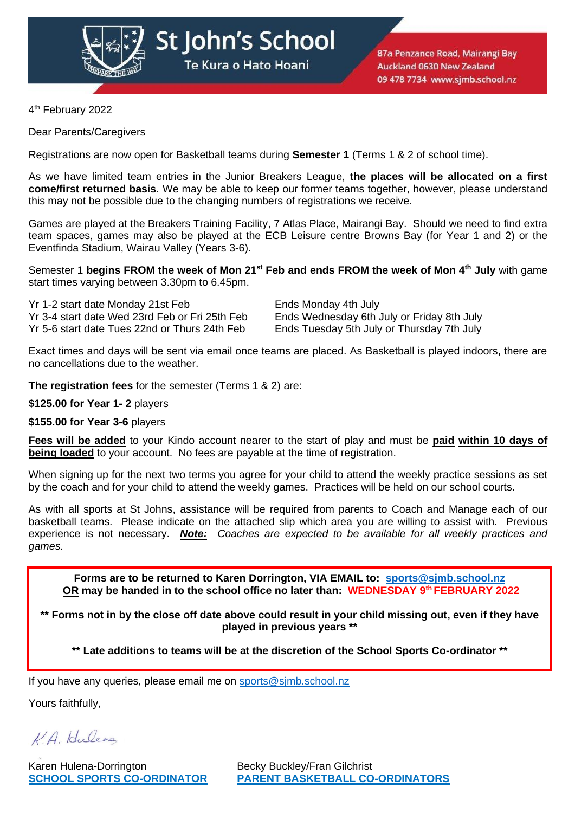

St John's School Te Kura o Hato Hoani

87a Penzance Road, Mairangi Bay **Auckland 0630 New Zealand** 09 478 7734 www.sjmb.school.nz

4 th February 2022

Dear Parents/Caregivers

Registrations are now open for Basketball teams during **Semester 1** (Terms 1 & 2 of school time).

As we have limited team entries in the Junior Breakers League, **the places will be allocated on a first come/first returned basis**. We may be able to keep our former teams together, however, please understand this may not be possible due to the changing numbers of registrations we receive.

Games are played at the Breakers Training Facility, 7 Atlas Place, Mairangi Bay. Should we need to find extra team spaces, games may also be played at the ECB Leisure centre Browns Bay (for Year 1 and 2) or the Eventfinda Stadium, Wairau Valley (Years 3-6).

Semester 1 **begins FROM the week of Mon 21st Feb and ends FROM the week of Mon 4 th July** with game start times varying between 3.30pm to 6.45pm.

Yr 1-2 start date Monday 21st Feb Ends Monday 4th July Yr 3-4 start date Wed 23rd Feb or Fri 25th Feb Ends Wednesday 6th July or Friday 8th July

Ends Tuesday 5th July or Thursday 7th July

Exact times and days will be sent via email once teams are placed. As Basketball is played indoors, there are no cancellations due to the weather.

**The registration fees** for the semester (Terms 1 & 2) are:

**\$125.00 for Year 1- 2** players

**\$155.00 for Year 3-6** players

**Fees will be added** to your Kindo account nearer to the start of play and must be **paid within 10 days of being loaded** to your account. No fees are payable at the time of registration.

When signing up for the next two terms you agree for your child to attend the weekly practice sessions as set by the coach and for your child to attend the weekly games. Practices will be held on our school courts.

As with all sports at St Johns, assistance will be required from parents to Coach and Manage each of our basketball teams. Please indicate on the attached slip which area you are willing to assist with. Previous experience is not necessary. *Note: Coaches are expected to be available for all weekly practices and games.*

**Forms are to be returned to Karen Dorrington, VIA EMAIL to: [sports@sjmb.school.nz](mailto:sports@sjmb.school.nz) OR may be handed in to the school office no later than: WEDNESDAY 9th FEBRUARY 2022**

**\*\* Forms not in by the close off date above could result in your child missing out, even if they have played in previous years \*\***

**\*\* Late additions to teams will be at the discretion of the School Sports Co-ordinator \*\***

If you have any queries, please email me on [sports@sjmb.school.nz](mailto:sports@sjmb.school.nz)

Yours faithfully,

VA Hulena

Karen Hulena-Dorrington Becky Buckley/Fran Gilchrist

**SCHOOL SPORTS CO-ORDINATOR PARENT BASKETBALL CO-ORDINATORS**